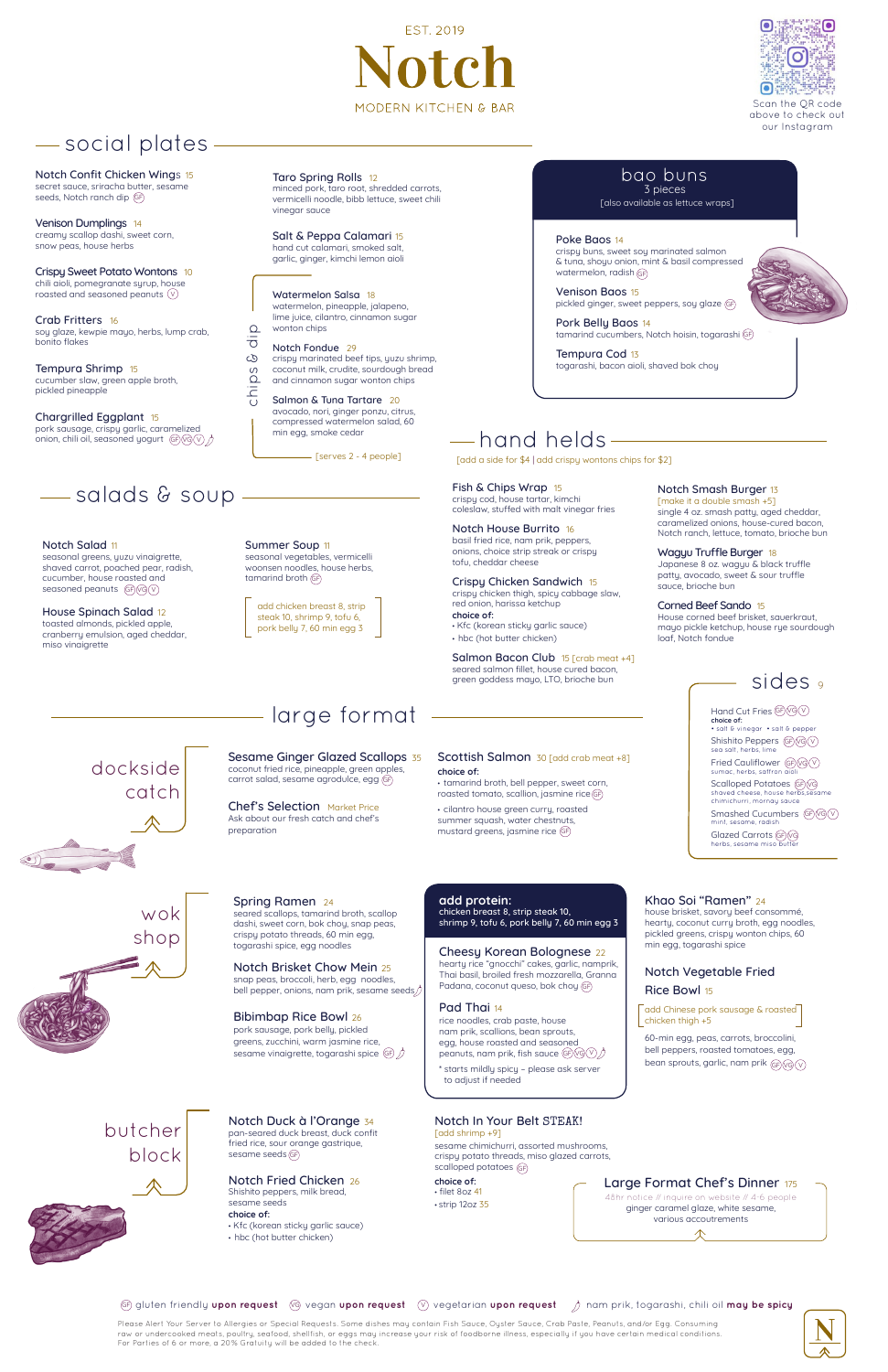Summer Soup 11

seasonal vegetables, vermicelli woonsen noodles, house herbs,

# social plates

Venison Dumplings 14 creamy scallop dashi, sweet corn, snow peas, house herbs

Chargrilled Eggplant 15 pork sausage, crispy garlic, caramelized onion, chili oil, seasoned yogurt (GF) VG (V

Crab Fritters 16 soy glaze, kewpie mayo, herbs, lump crab, bonito flakes

Tempura Shrimp 15 cucumber slaw, green apple broth, pickled pineapple

 $\overline{\sigma}$ Notch Fondue 29 ය crispy marinated beef tips, yuzu shrimp,  $\omega$ coconut milk, crudite, sourdough bread hips and cinnamon sugar wonton chips

Taro Spring Rolls 12

minced pork, taro root, shredded carrots, vermicelli noodle, bibb lettuce, sweet chili

vinegar sauce

Salt & Peppa Calamari 15 hand cut calamari, smoked salt, garlic, ginger, kimchi lemon aioli

Watermelon Salsa 18 watermelon, pineapple, jalapeno, lime juice, cilantro, cinnamon sugar

wonton chips

 $\Omega$ 

Notch Salad 11 seasonal greens, yuzu vinaigrette, shaved carrot, poached pear, radish, cucumber, house roasted and seasoned peanuts (GF) VG V

[also available as lettuce wraps]

Fish & Chips Wrap 15 crispy cod, house tartar, kimchi coleslaw, stuffed with malt vinegar fries

Notch House Burrito 16 basil fried rice, nam prik, peppers, onions, choice strip streak or crispy tofu, cheddar cheese

Scottish Salmon 30 [add crab meat +8] **choice of:**

Crispy Chicken Sandwich15 crispy chicken thigh, spicy cabbage slaw, red onion, harissa ketchup **choice of:** • Kfc (korean sticky garlic sauce) • hbc (hot butter chicken)

Notch Brisket Chow Mein 25 snap peas, broccoli, herb, egg noodles, bell pepper, onions, nam prik, sesame seeds Salmon Bacon Club15 [crab meat +4] seared salmon fillet, house cured bacon, green goddess mayo, LTO, brioche bun

#### Notch Smash Burger 13

[make it a double smash +5] single 4 oz. smash patty, aged cheddar, caramelized onions, house-cured bacon, Notch ranch, lettuce, tomato, brioche bun

rice noodles, crab paste, house nam prik, scallions, bean sprouts, egg, house roasted and seasoned peanuts, nam prik, fish sauce (GF)(VG)(V Wagyu Truffle Burger 18 Japanese 8 oz. wagyu & black truffle patty, avocado, sweet & sour truffle sauce, brioche bun

60-min egg, peas, carrots, broccolini, bell peppers, roasted tomatoes, egg, bean sprouts, garlic, nam prik  $\mathbb{G}$ R $\mathbb{G}$ 

Corned Beef Sando 15 House corned beef brisket, sauerkraut, mayo pickle ketchup, house rye sourdough loaf, Notch fondue

# hand helds

House Spinach Salad 12 toasted almonds, pickled apple, cranberry emulsion, aged cheddar, miso vinaigrette

# salads & soup

add chicken breast 8, strip



steak 10, shrimp 9, tofu 6, pork belly 7, 60 min egg 3 [add a side for \$4 | add crispy wontons chips for \$2]

Salmon & Tuna Tartare 20 avocado, nori, ginger ponzu, citrus, compressed watermelon salad, 60 min egg, smoke cedar chips & dip

Notch Confit Chicken Wings 15 secret sauce, sriracha butter, sesame seeds, Notch ranch dip GF

> Chef's Selection Market Price Ask about our fresh catch and chef's preparation

Crispy Sweet Potato Wontons 10 chili aioli, pomegranate syrup, house roasted and seasoned peanuts V

tamarind broth GF

dockside

catch

wok

shop

# Spring Ramen 24 seared scallops, tamarind broth, scallop

dashi, sweet corn, bok choy, snap peas, crispy potato threads, 60 min egg, togarashi spice, egg noodles

### 3 pieces bao buns

#### Bibimbap Rice Bowl 26

## **add protein:**

chicken breast 8, strip steak 10, shrimp 9, tofu 6, pork belly 7, 60 min egg 3

\* starts mildly spicy – please ask server to adjust if needed

Khao Soi "Ramen" 24

Sesame Ginger Glazed Scallops 35 coconut fried rice, pineapple, green apples, carrot salad, sesame agrodulce, egg GF

> house brisket, savory beef consommé, hearty, coconut curry broth, egg noodles, pickled greens, crispy wonton chips, 60 min egg, togarashi spice

• tamarind broth, bell pepper, sweet corn, roasted tomato, scallion, jasmine rice GF

> Notch Vegetable Fried Rice Bowl 15

• cilantro house green curry, roasted summer squash, water chestnuts, mustard greens, jasmine rice GF

> add Chinese pork sausage & roasted chicken thigh +5

# large format

# butcher block

Notch Duck à l'Orange 34 pan-seared duck breast, duck confit fried rice, sour orange gastrique,

## Notch Fried Chicken 26

Shishito peppers, milk bread, sesame seeds

#### **choice of:**

- Kfc (korean sticky garlic sauce)
- hbc (hot butter chicken)

Notch In Your Belt STEAK! [add shrimp +9]

pork sausage, pork belly, pickled greens, zucchini, warm jasmine rice, sesame vinaigrette, togarashi spice GF

**choice of:** • filet 8oz 41 • strip 12oz 35

Cheesy Korean Bolognese 22 hearty rice "gnocchi" cakes, garlic, namprik, Thai basil, broiled fresh mozzarella, Granna Padana, coconut queso, bok choy GF

Pad Thai 14

sesame seeds GF

Please Alert Your Server to Allergies or Special Requests. Some dishes may contain Fish Sauce, Oyster Sauce, Crab Paste, Peanuts, and/or Egg. Consuming raw or undercooked meats, poultry, seafood, shellfish, or eggs may increase your risk of foodborne illness, especially if you have certain medical conditions. For Parties of 6 or more, a 20% Gratuity will be added to the check.



sesame chimichurri, assorted mushrooms, crispy potato threads, miso glazed carrots, scalloped potatoes GF

[serves 2 - 4 people]



Hand Cut Fries (GF) (VG) (V **choice of:** • salt & vinegar • salt & pepper Shishito Peppers (GF) VG (V sea salt, herbs, lime Fried Cauliflower (GF) VG (V sumac, herbs, saffron a Scalloped Potatoes (GF)(vG shaved cheese, house her chimichurri, mornay sauce Smashed Cucumbers (GP)(vG)(v mint, sesame, radish Glazed Carrots (GF)(vG herbs, sesame miso

# **EST. 2019**  $\mathbf{h}$ MODERN KITCHEN & BAR



Scan the QR code above to check out our Instagram

### Large Format Chef's Dinner <sup>175</sup>

48hr notice // inquire on website // 4-6 people ginger caramel glaze, white sesame, various accoutrements

### GF) gluten friendly **upon request** (G) vegan **upon request** (V) vegetarian **upon request** /) nam prik, togarashi, chili oil **may be spicy**

Poke Baos 14 crispy buns, sweet soy marinated salmon & tuna, shoyu onion, mint & basil compressed watermelon, radish GF

Venison Baos 15 pickled ginger, sweet peppers, soy glaze GF

Pork Belly Baos 14 tamarind cucumbers, Notch hoisin, togarashi GF

Tempura Cod 13 togarashi, bacon aioli, shaved bok choy